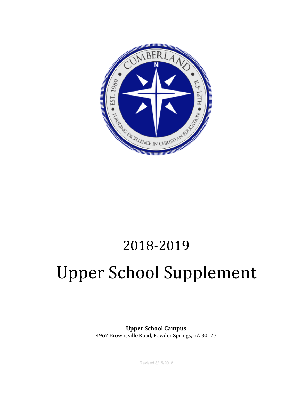

## 2018-2019

# Upper School Supplement

**Upper School Campus** 4967 Brownsville Road, Powder Springs, GA 30127

Revised 8/15/2018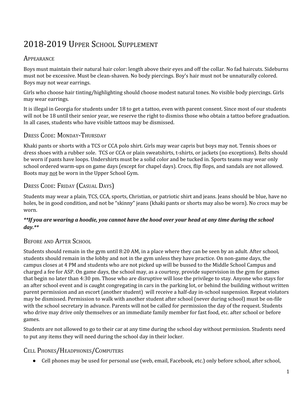### 2018-2019 UPPER SCHOOL SUPPLEMENT

#### **APPEARANCE**

Boys must maintain their natural hair color: length above their eyes and off the collar. No fad haircuts. Sideburns must not be excessive. Must be clean-shaven. No body piercings. Boy's hair must not be unnaturally colored. Boys may not wear earrings.

Girls who choose hair tinting/highlighting should choose modest natural tones. No visible body piercings. Girls may wear earrings.

It is illegal in Georgia for students under 18 to get a tattoo, even with parent consent. Since most of our students will not be 18 until their senior year, we reserve the right to dismiss those who obtain a tattoo before graduation. In all cases, students who have visible tattoos may be dismissed.

#### DRESS CODE: MONDAY-THURSDAY

Khaki pants or shorts with a TCS or CCA polo shirt. Girls may wear capris but boys may not. Tennis shoes or dress shoes with a rubber sole. TCS or CCA or plain sweatshirts, t-shirts, or jackets (no exceptions). Belts should be worn if pants have loops. Undershirts must be a solid color and be tucked in. Sports teams may wear only school ordered warm-ups on game days (except for chapel days). Crocs, flip flops, and sandals are not allowed. Boots may not be worn in the Upper School Gym.

#### DRESS CODE: FRIDAY (CASUAL DAYS)

Students may wear a plain, TCS, CCA, sports, Christian, or patriotic shirt and jeans. Jeans should be blue, have no holes, be in good condition, and not be "skinny" jeans (khaki pants or shorts may also be worn). No crocs may be worn.

#### \*\*If you are wearing a hoodie, you cannot have the hood over your head at any time during the school *day.\*\**

#### BEFORE AND AFTER SCHOOL

Students should remain in the gym until 8:20 AM, in a place where they can be seen by an adult. After school, students should remain in the lobby and not in the gym unless they have practice. On non-game days, the campus closes at 4 PM and students who are not picked up will be bussed to the Middle School Campus and charged a fee for ASP. On game days, the school may, as a courtesy, provide supervision in the gym for games that begin no later than 4:30 pm. Those who are disruptive will lose the privilege to stay. Anyone who stays for an after school event and is caught congregating in cars in the parking lot, or behind the building without written parent permission and an escort (another student) will receive a half-day in-school suspension. Repeat violators may be dismissed. Permission to walk with another student after school (never during school) must be on-file with the school secretary in advance. Parents will not be called for permission the day of the request. Students who drive may drive only themselves or an immediate family member for fast food, etc. after school or before games.

Students are not allowed to go to their car at any time during the school day without permission. Students need to put any items they will need during the school day in their locker.

#### CELL PHONES/HEADPHONES/COMPUTERS

● Cell phones may be used for personal use (web, email, Facebook, etc.) only before school, after school,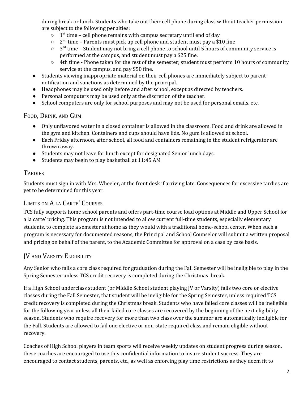during break or lunch. Students who take out their cell phone during class without teacher permission are subject to the following penalties:

- $\circ$  1<sup>st</sup> time cell phone remains with campus secretary until end of day
- $\circ$  2<sup>nd</sup> time Parents must pick up cell phone and student must pay a \$10 fine
- $\circ$  3<sup>rd</sup> time Student may not bring a cell phone to school until 5 hours of community service is performed at the campus, and student must pay a \$25 fine.
- 4th time Phone taken for the rest of the semester; student must perform 10 hours of community service at the campus, and pay \$50 fine.
- Students viewing inappropriate material on their cell phones are immediately subject to parent notification and sanctions as determined by the principal.
- Headphones may be used only before and after school, except as directed by teachers.
- Personal computers may be used only at the discretion of the teacher.
- School computers are only for school purposes and may not be used for personal emails, etc.

#### FOOD, DRINK, AND GUM

- Only unflavored water in a closed container is allowed in the classroom. Food and drink are allowed in the gym and kitchen. Containers and cups should have lids. No gum is allowed at school.
- Each Friday afternoon, after school, all food and containers remaining in the student refrigerator are thrown away.
- Students may not leave for lunch except for designated Senior lunch days.
- Students may begin to play basketball at 11:45 AM

#### **TARDIES**

Students must sign in with Mrs. Wheeler, at the front desk if arriving late. Consequences for excessive tardies are yet to be determined for this year.

#### LIMITS ON A LA CARTE' COURSES

TCS fully supports home school parents and offers part-time course load options at Middle and Upper School for a la carte' pricing. This program is not intended to allow current full-time students, especially elementary students, to complete a semester at home as they would with a traditional home-school center. When such a program is necessary for documented reasons, the Principal and School Counselor will submit a written proposal and pricing on behalf of the parent, to the Academic Committee for approval on a case by case basis.

#### JV AND VARSITY ELIGIBILITY

Any Senior who fails a core class required for graduation during the Fall Semester will be ineligible to play in the Spring Semester unless TCS credit recovery is completed during the Christmas break.

If a High School underclass student (or Middle School student playing JV or Varsity) fails two core or elective classes during the Fall Semester, that student will be ineligible for the Spring Semester, unless required TCS credit recovery is completed during the Christmas break. Students who have failed core classes will be ineligible for the following year unless all their failed core classes are recovered by the beginning of the next eligibility season. Students who require recovery for more than two class over the summer are automatically ineligible for the Fall. Students are allowed to fail one elective or non-state required class and remain eligible without recovery.

Coaches of High School players in team sports will receive weekly updates on student progress during season, these coaches are encouraged to use this confidential information to insure student success. They are encouraged to contact students, parents, etc., as well as enforcing play time restrictions as they deem fit to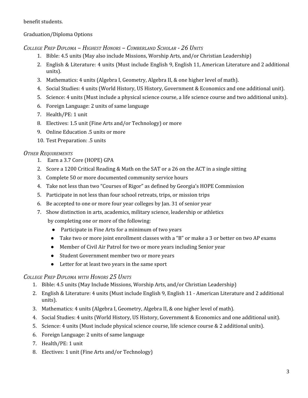benefit students.

#### Graduation/Diploma Options

*COLLEGE PREP DIPLOMA – HIGHEST HONORS – CUMBERLAND SCHOLAR - 26 UNITS*

- 1. Bible: 4.5 units (May also include Missions, Worship Arts, and/or Christian Leadership)
- 2. English & Literature: 4 units (Must include English 9, English 11, American Literature and 2 additional units).
- 3. Mathematics: 4 units (Algebra I, Geometry, Algebra II, & one higher level of math).
- 4. Social Studies: 4 units (World History, US History, Government & Economics and one additional unit).
- 5. Science: 4 units (Must include a physical science course, a life science course and two additional units).
- 6. Foreign Language: 2 units of same language
- 7. Health/PE: 1 unit
- 8. Electives: 1.5 unit (Fine Arts and/or Technology) or more
- 9. Online Education .5 units or more
- 10. Test Preparation: .5 units

#### *OTHER REQUIREMENTS*

- 1. Earn a 3.7 Core (HOPE) GPA
- 2. Score a 1200 Critical Reading & Math on the SAT or a 26 on the ACT in a single sitting
- 3. Complete 50 or more documented community service hours
- 4. Take not less than two "Courses of Rigor" as defined by Georgia's HOPE Commission
- 5. Participate in not less than four school retreats, trips, or mission trips
- 6. Be accepted to one or more four year colleges by Jan. 31 of senior year
- 7. Show distinction in arts, academics, military science, leadership or athletics by completing one or more of the following:
	- Participate in Fine Arts for a minimum of two years
	- Take two or more joint enrollment classes with a "B" or make a 3 or better on two AP exams
	- Member of Civil Air Patrol for two or more years including Senior year
	- Student Government member two or more years
	- Letter for at least two years in the same sport

#### *COLLEGE PREP DIPLOMA WITH HONORS 25 UNITS*

- 1. Bible: 4.5 units (May Include Missions, Worship Arts, and/or Christian Leadership)
- 2. English & Literature: 4 units (Must include English 9, English 11 American Literature and 2 additional units).
- 3. Mathematics: 4 units (Algebra I, Geometry, Algebra II, & one higher level of math).
- 4. Social Studies: 4 units (World History, US History, Government & Economics and one additional unit).
- 5. Science: 4 units (Must include physical science course, life science course & 2 additional units).
- 6. Foreign Language: 2 units of same language
- 7. Health/PE: 1 unit
- 8. Electives: 1 unit (Fine Arts and/or Technology)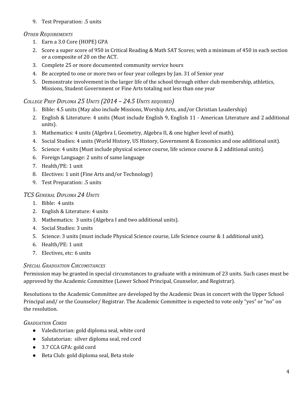9. Test Preparation: .5 units

#### *OTHER REQUIREMENTS*

- 1. Earn a 3.0 Core (HOPE) GPA
- 2. Score a super score of 950 in Critical Reading & Math SAT Scores; with a minimum of 450 in each section or a composite of 20 on the ACT.
- 3. Complete 25 or more documented community service hours
- 4. Be accepted to one or more two or four year colleges by Jan. 31 of Senior year
- 5. Demonstrate involvement in the larger life of the school through either club membership, athletics, Missions, Student Government or Fine Arts totaling not less than one year

#### *COLLEGE PREP DIPLOMA 25 UNITS (2014 – 24.5 UNITS REQUIRED)*

- 1. Bible: 4.5 units (May also include Missions, Worship Arts, and/or Christian Leadership)
- 2. English & Literature: 4 units (Must include English 9, English 11 American Literature and 2 additional units).
- 3. Mathematics: 4 units (Algebra I, Geometry, Algebra II, & one higher level of math).
- 4. Social Studies: 4 units (World History, US History, Government & Economics and one additional unit).
- 5. Science: 4 units (Must include physical science course, life science course & 2 additional units).
- 6. Foreign Language: 2 units of same language
- 7. Health/PE: 1 unit
- 8. Electives: 1 unit (Fine Arts and/or Technology)
- 9. Test Preparation: .5 units

#### *TCS GENERAL DIPLOMA 24 UNITS*

- 1. Bible: 4 units
- 2. English & Literature: 4 units
- 3. Mathematics: 3 units (Algebra I and two additional units).
- 4. Social Studies: 3 units
- 5. Science: 3 units (must include Physical Science course, Life Science course & 1 additional unit).
- 6. Health/PE: 1 unit
- 7. Electives, etc: 6 units

#### *SPECIAL GRADUATION CIRCUMSTANCES*

Permission may be granted in special circumstances to graduate with a minimum of 23 units. Such cases must be approved by the Academic Committee (Lower School Principal, Counselor, and Registrar).

Resolutions to the Academic Committee are developed by the Academic Dean in concert with the Upper School Principal and/ or the Counselor/ Registrar. The Academic Committee is expected to vote only "yes" or "no" on the resolution.

#### *GRADUATION CORDS*

- Valedictorian: gold diploma seal, white cord
- Salutatorian: silver diploma seal, red cord
- 3.7 CCA GPA: gold cord
- Beta Club: gold diploma seal, Beta stole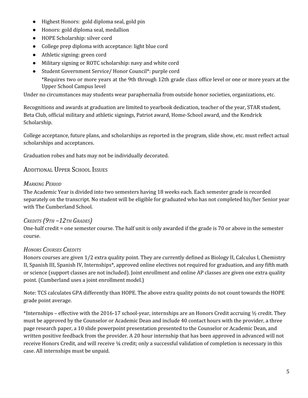- Highest Honors: gold diploma seal, gold pin
- Honors: gold diploma seal, medallion
- HOPE Scholarship: silver cord
- College prep diploma with acceptance: light blue cord
- Athletic signing: green cord
- Military signing or ROTC scholarship: navy and white cord
- Student Government Service/ Honor Council\*: purple cord \*Requires two or more years at the 9th through 12th grade class office level or one or more years at the Upper School Campus level

Under no circumstances may students wear paraphernalia from outside honor societies, organizations, etc.

Recognitions and awards at graduation are limited to yearbook dedication, teacher of the year, STAR student, Beta Club, official military and athletic signings, Patriot award, Home-School award, and the Kendrick Scholarship.

College acceptance, future plans, and scholarships as reported in the program, slide show, etc. must reflect actual scholarships and acceptances.

Graduation robes and hats may not be individually decorated.

#### ADDITIONAL UPPER SCHOOL ISSUES

#### *MARKING PERIOD*

The Academic Year is divided into two semesters having 18 weeks each. Each semester grade is recorded separately on the transcript. No student will be eligible for graduated who has not completed his/her Senior year with The Cumberland School.

#### *CREDITS (9TH –12TH GRADES)*

One-half credit = one semester course. The half unit is only awarded if the grade is 70 or above in the semester course.

#### *HONORS COURSES CREDITS*

Honors courses are given 1/2 extra quality point. They are currently defined as Biology II, Calculus I, Chemistry II, Spanish III, Spanish IV, Internships\*, approved online electives not required for graduation, and any fifth math or science (support classes are not included). Joint enrollment and online AP classes are given one extra quality point. (Cumberland uses a joint enrollment model.)

Note: TCS calculates GPA differently than HOPE. The above extra quality points do not count towards the HOPE grade point average.

\*Internships – effective with the 2016-17 school-year, internships are an Honors Credit accruing  $\frac{1}{2}$  credit. They must be approved by the Counselor or Academic Dean and include 40 contact hours with the provider, a three page research paper, a 10 slide powerpoint presentation presented to the Counselor or Academic Dean, and written positive feedback from the provider. A 20 hour internship that has been approved in advanced will not receive Honors Credit, and will receive ¼ credit; only a successful validation of completion is necessary in this case. All internships must be unpaid.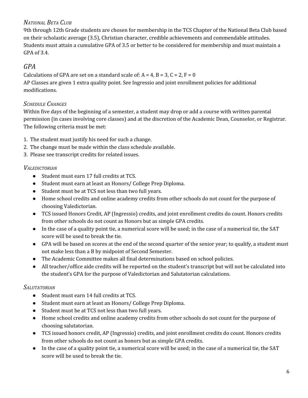#### *NATIONAL BETA CLUB*

9th through 12th Grade students are chosen for membership in the TCS Chapter of the National Beta Club based on their scholastic average (3.5), Christian character, credible achievements and commendable attitudes. Students must attain a cumulative GPA of 3.5 or better to be considered for membership and must maintain a GPA of 3.4.

#### *GPA*

Calculations of GPA are set on a standard scale of:  $A = 4$ ,  $B = 3$ ,  $C = 2$ ,  $F = 0$ AP Classes are given 1 extra quality point. See Ingressio and joint enrollment policies for additional modifications.

#### *SCHEDULE CHANGES*

Within five days of the beginning of a semester, a student may drop or add a course with written parental permission (in cases involving core classes) and at the discretion of the Academic Dean, Counselor, or Registrar. The following criteria must be met:

- 1. The student must justify his need for such a change.
- 2. The change must be made within the class schedule available.
- 3. Please see transcript credits for related issues.

#### *VALEDICTORIAN*

- Student must earn 17 full credits at TCS.
- Student must earn at least an Honors/ College Prep Diploma.
- Student must be at TCS not less than two full years.
- Home school credits and online academy credits from other schools do not count for the purpose of choosing Valedictorian.
- TCS issued Honors Credit, AP (Ingressio) credits, and joint enrollment credits do count. Honors credits from other schools do not count as Honors but as simple GPA credits.
- In the case of a quality point tie, a numerical score will be used; in the case of a numerical tie, the SAT score will be used to break the tie.
- GPA will be based on scores at the end of the second quarter of the senior year; to qualify, a student must not make less than a B by midpoint of Second Semester.
- The Academic Committee makes all final determinations based on school policies.
- All teacher/office aide credits will be reported on the student's transcript but will not be calculated into the student's GPA for the purpose of Valedictorian and Salutatorian calculations.

#### *SALUTATORIAN*

- Student must earn 14 full credits at TCS.
- Student must earn at least an Honors/ College Prep Diploma.
- Student must be at TCS not less than two full years.
- Home school credits and online academy credits from other schools do not count for the purpose of choosing salutatorian.
- TCS issued honors credit, AP (Ingressio) credits, and joint enrollment credits do count. Honors credits from other schools do not count as honors but as simple GPA credits.
- In the case of a quality point tie, a numerical score will be used; in the case of a numerical tie, the SAT score will be used to break the tie.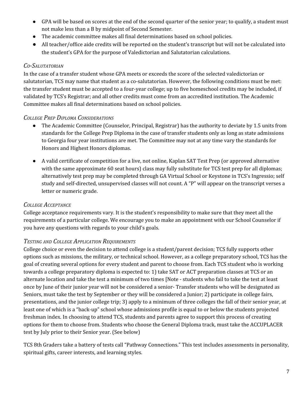- GPA will be based on scores at the end of the second quarter of the senior year; to qualify, a student must not make less than a B by midpoint of Second Semester.
- The academic committee makes all final determinations based on school policies.
- All teacher/office aide credits will be reported on the student's transcript but will not be calculated into the student's GPA for the purpose of Valedictorian and Salutatorian calculations.

#### *CO-SALUTATORIAN*

In the case of a transfer student whose GPA meets or exceeds the score of the selected valedictorian or salutatorian, TCS may name that student as a co-salutatorian. However, the following conditions must be met: the transfer student must be accepted to a four-year college; up to five homeschool credits may be included, if validated by TCS's Registrar; and all other credits must come from an accredited institution. The Academic Committee makes all final determinations based on school policies.

#### *COLLEGE PREP DIPLOMA CONSIDERATIONS*

- The Academic Committee (Counselor, Principal, Registrar) has the authority to deviate by 1.5 units from standards for the College Prep Diploma in the case of transfer students only as long as state admissions to Georgia four year institutions are met. The Committee may not at any time vary the standards for Honors and Highest Honors diplomas.
- A valid certificate of competition for a live, not online, Kaplan SAT Test Prep (or approved alternative with the same approximate 60 seat hours) class may fully substitute for TCS test prep for all diplomas; alternatively test prep may be completed through GA Virtual School or Keystone in TCS's Ingressio; self study and self-directed, unsupervised classes will not count. A "P" will appear on the transcript verses a letter or numeric grade.

#### *COLLEGE ACCEPTANCE*

College acceptance requirements vary. It is the student's responsibility to make sure that they meet all the requirements of a particular college. We encourage you to make an appointment with our School Counselor if you have any questions with regards to your child's goals.

#### *TESTING AND COLLEGE APPLICATION REQUIREMENTS*

College choice or even the decision to attend college is a student/parent decision; TCS fully supports other options such as missions, the military, or technical school. However, as a college preparatory school, TCS has the goal of creating several options for every student and parent to choose from. Each TCS student who is working towards a college preparatory diploma is expected to: 1) take SAT or ACT preparation classes at TCS or an alternate location and take the test a minimum of two times [Note - students who fail to take the test at least once by June of their junior year will not be considered a senior- Transfer students who will be designated as Seniors, must take the test by September or they will be considered a Junior; 2) participate in college fairs, presentations, and the junior college trip; 3) apply to a minimum of three colleges the fall of their senior year, at least one of which is a "back-up" school whose admissions profile is equal to or below the students projected freshman index. In choosing to attend TCS, students and parents agree to support this process of creating options for them to choose from. Students who choose the General Diploma track, must take the ACCUPLACER test by July prior to their Senior year. (See below)

TCS 8th Graders take a battery of tests call "Pathway Connections." This test includes assessments in personality, spiritual gifts, career interests, and learning styles.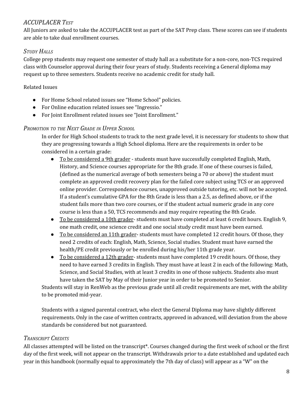#### *ACCUPLACER TEST*

All Juniors are asked to take the ACCUPLACER test as part of the SAT Prep class. These scores can see if students are able to take dual enrollment courses.

#### *STUDY HALLS*

College prep students may request one semester of study hall as a substitute for a non-core, non-TCS required class with Counselor approval during their four years of study. Students receiving a General diploma may request up to three semesters. Students receive no academic credit for study hall.

#### Related Issues

- For Home School related issues see "Home School" policies.
- For Online education related issues see "Ingressio."
- For Joint Enrollment related issues see "Joint Enrollment."

#### *PROMOTION TO THE NEXT GRADE IN UPPER SCHOOL*

In order for High School students to track to the next grade level, it is necessary for students to show that they are progressing towards a High School diploma. Here are the requirements in order to be considered in a certain grade:

- To be considered a 9th grader students must have successfully completed English, Math, History, and Science courses appropriate for the 8th grade. If one of these courses is failed, (defined as the numerical average of both semesters being a 70 or above) the student must complete an approved credit recovery plan for the failed core subject using TCS or an approved online provider. Correspondence courses, unapproved outside tutoring, etc. will not be accepted. If a student's cumulative GPA for the 8th Grade is less than a 2.5, as defined above, or if the student fails more than two core courses, or if the student actual numeric grade in any core course is less than a 50, TCS recommends and may require repeating the 8th Grade.
- To be considered a 10th grader-students must have completed at least 6 credit hours. English 9, one math credit, one science credit and one social study credit must have been earned.
- To be considered an 11th grader-students must have completed 12 credit hours. Of those, they need 2 credits of each: English, Math, Science, Social studies. Student must have earned the health/PE credit previously or be enrolled during his/her 11th grade year.
- To be considered a 12th grader-students must have completed 19 credit hours. Of those, they need to have earned 3 credits in English. They must have at least 2 in each of the following: Math, Science, and Social Studies, with at least 3 credits in one of those subjects. Students also must have taken the SAT by May of their Junior year in order to be promoted to Senior.

Students will stay in RenWeb as the previous grade until all credit requirements are met, with the ability to be promoted mid-year.

Students with a signed parental contract, who elect the General Diploma may have slightly different requirements. Only in the case of written contracts, approved in advanced, will deviation from the above standards be considered but not guaranteed.

#### *TRANSCRIPT CREDITS*

All classes attempted will be listed on the transcript\*. Courses changed during the first week of school or the first day of the first week, will not appear on the transcript. Withdrawals prior to a date established and updated each year in this handbook (normally equal to approximately the 7th day of class) will appear as a "W" on the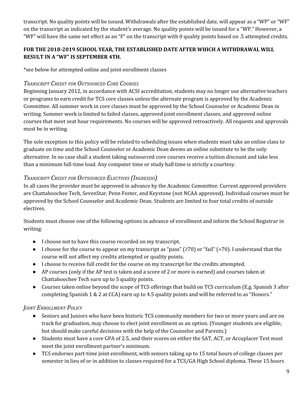transcript. No quality points will be issued. Withdrawals after the established date, will appear as a "WP" or "WF" on the transcript as indicated by the student's average. No quality points will be issued for a "WP." However, a "WF" will have the same net effect as an "F" on the transcript with 0 quality points based on .5 attempted credits.

#### **FOR THE 2018-2019 SCHOOL YEAR, THE ESTABLISHED DATE AFTER WHICH A WITHDRAWAL WILL RESULT IN A "WF" IS SEPTEMBER 4TH.**

\*see below for attempted online and joint enrollment classes

#### *TRANSCRIPT CREDIT FOR OUTSOURCED CORE COURSES*

Beginning January 2012, in accordance with ACSI accreditation, students may no longer use alternative teachers or programs to earn credit for TCS core classes unless the alternate program is approved by the Academic Committee. All summer work in core classes must be approved by the School Counselor or Academic Dean in writing. Summer work is limited to failed classes, approved joint enrollment classes, and approved online courses that meet seat hour requirements. No courses will be approved retroactively. All requests and approvals must be in writing.

The sole exception to this policy will be related to scheduling issues when students must take an online class to graduate on time and the School Counselor or Academic Dean deems an online substitute to be the only alternative. In no case shall a student taking outsourced core courses receive a tuition discount and take less than a minimum full-time load. Any computer time or study hall time is strictly a courtesy.

#### *TRANSCRIPT CREDIT FOR OUTSOURCED ELECTIVES (INGRESSIO)*

In all cases the provider must be approved in advance by the Academic Committee. Current approved providers are Chattahoochee Tech, SevenStar, Penn Foster, and Keystone (not NCAA approved). Individual courses must be approved by the School Counselor and Academic Dean. Students are limited to four total credits of outside electives.

Students must choose one of the following options in advance of enrollment and inform the School Registrar in writing:

- I choose not to have this course recorded on my transcript.
- I choose for the course to appear on my transcript as "pass" ( $\geq$ 70) or "fail" (<70). I understand that the course will not affect my credits attempted or quality points.
- I choose to receive full credit for the course on my transcript for the credits attempted.
- AP courses (only if the AP test is taken and a score of 2 or more is earned) and courses taken at Chattahoochee Tech earn up to 5 quality points.
- Courses taken online beyond the scope of TCS offerings that build on TCS curriculum (E.g. Spanish 3 after completing Spanish 1 & 2 at CCA) earn up to 4.5 quality points and will be referred to as "Honors."

#### *JOINT ENROLLMENT POLICY*

- Seniors and Juniors who have been historic TCS community members for two or more years and are on track for graduation, may choose to elect joint enrollment as an option. (Younger students are eligible, but should make careful decisions with the help of the Counselor and Parents.)
- Students must have a core GPA of 2.5, and their scores on either the SAT, ACT, or Accuplacer Test must meet the joint enrollment partner's minimum.
- TCS endorses part-time joint enrollment, with seniors taking up to 15 total hours of college classes per semester in lieu of or in addition to classes required for a TCS/GA High School diploma. These 15 hours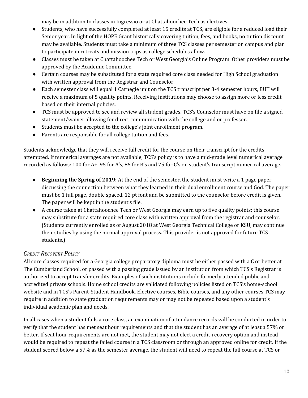may be in addition to classes in Ingressio or at Chattahoochee Tech as electives.

- Students, who have successfully completed at least 15 credits at TCS, are eligible for a reduced load their Senior year. In light of the HOPE Grant historically covering tuition, fees, and books, no tuition discount may be available. Students must take a minimum of three TCS classes per semester on campus and plan to participate in retreats and mission trips as college schedules allow.
- Classes must be taken at Chattahoochee Tech or West Georgia's Online Program. Other providers must be approved by the Academic Committee.
- Certain courses may be substituted for a state required core class needed for High School graduation with written approval from the Registrar and Counselor.
- Each semester class will equal 1 Carnegie unit on the TCS transcript per 3-4 semester hours, BUT will receive a maximum of 5 quality points. Receiving institutions may choose to assign more or less credit based on their internal policies.
- TCS must be approved to see and review all student grades. TCS's Counselor must have on file a signed statement/waiver allowing for direct communication with the college and or professor.
- Students must be accepted to the college's joint enrollment program.
- Parents are responsible for all college tuition and fees.

Students acknowledge that they will receive full credit for the course on their transcript for the credits attempted. If numerical averages are not available, TCS's policy is to have a mid-grade level numerical average recorded as follows: 100 for A+, 95 for A's, 85 for B's and 75 for C's on student's transcript numerical average.

- **Beginning the Spring of 2019:** At the end of the semester, the student must write a 1 page paper discussing the connection between what they learned in their dual enrollment course and God. The paper must be 1 full page, double spaced. 12 pt font and be submitted to the counselor before credit is given. The paper will be kept in the student's file.
- A course taken at Chattahoochee Tech or West Georgia may earn up to five quality points; this course may substitute for a state required core class with written approval from the registrar and counselor. (Students currently enrolled as of August 2018 at West Georgia Technical College or KSU, may continue their studies by using the normal approval process. This provider is not approved for future TCS students.)

#### *CREDIT RECOVERY POLICY*

All core classes required for a Georgia college preparatory diploma must be either passed with a C or better at The Cumberland School, or passed with a passing grade issued by an institution from which TCS's Registrar is authorized to accept transfer credits. Examples of such institutions include formerly attended public and accredited private schools. Home school credits are validated following policies listed on TCS's home-school website and in TCS's Parent-Student Handbook. Elective courses, Bible courses, and any other courses TCS may require in addition to state graduation requirements may or may not be repeated based upon a student's individual academic plan and needs.

In all cases when a student fails a core class, an examination of attendance records will be conducted in order to verify that the student has met seat hour requirements and that the student has an average of at least a 57% or better. If seat hour requirements are not met, the student may not elect a credit-recovery option and instead would be required to repeat the failed course in a TCS classroom or through an approved online for credit. If the student scored below a 57% as the semester average, the student will need to repeat the full course at TCS or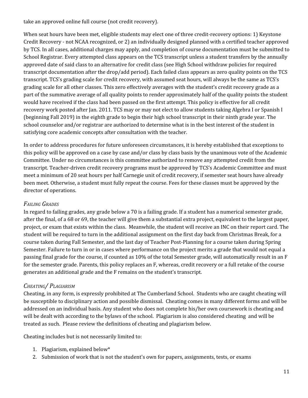take an approved online full course (not credit recovery).

When seat hours have been met, eligible students may elect one of three credit-recovery options: 1) Keystone Credit Recovery - not NCAA recognized, or 2) an individually designed planned with a certified teacher approved by TCS. In all cases, additional charges may apply, and completion of course documentation must be submitted to School Registrar. Every attempted class appears on the TCS transcript unless a student transfers by the annually approved date of said class to an alternative for credit class (see High School withdraw policies for required transcript documentation after the drop/add period). Each failed class appears as zero quality points on the TCS transcript. TCS's grading scale for credit recovery, with assumed seat hours, will always be the same as TCS's grading scale for all other classes. This zero effectively averages with the student's credit recovery grade as a part of the summative average of all quality points to render approximately half of the quality points the student would have received if the class had been passed on the first attempt. This policy is effective for all credit recovery work posted after Jan. 2011. TCS may or may not elect to allow students taking Algebra I or Spanish I (beginning Fall 2019) in the eighth grade to begin their high school transcript in their ninth grade year. The school counselor and/or registrar are authorized to determine what is in the best interest of the student in satisfying core academic concepts after consultation with the teacher.

In order to address procedures for future unforeseen circumstances, it is hereby established that exceptions to this policy will be approved on a case by case and/or class by class basis by the unanimous vote of the Academic Committee. Under no circumstances is this committee authorized to remove any attempted credit from the transcript. Teacher-driven credit recovery programs must be approved by TCS's Academic Committee and must meet a minimum of 20 seat hours per half Carnegie unit of credit recovery, if semester seat hours have already been meet. Otherwise, a student must fully repeat the course. Fees for these classes must be approved by the director of operations.

#### *FAILING GRADES*

In regard to failing grades, any grade below a 70 is a failing grade. If a student has a numerical semester grade, after the final, of a 68 or 69, the teacher will give them a substantial extra project, equivalent to the largest paper, project, or exam that exists within the class. Meanwhile, the student will receive an INC on their report card. The student will be required to turn in the additional assignment on the first day back from Christmas Break, for a course taken during Fall Semester, and the last day of Teacher Post-Planning for a course taken during Spring Semester. Failure to turn in or in cases where performance on the project merits a grade that would not equal a passing final grade for the course, if counted as 10% of the total Semester grade, will automatically result in an F for the semester grade. Parents, this policy replaces an F, whereas, credit recovery or a full retake of the course generates an additional grade and the F remains on the student's transcript.

#### *CHEATING/ PLAGIARISM*

Cheating, in any form, is expressly prohibited at The Cumberland School. Students who are caught cheating will be susceptible to disciplinary action and possible dismissal. Cheating comes in many different forms and will be addressed on an individual basis. Any student who does not complete his/her own coursework is cheating and will be dealt with according to the bylaws of the school. Plagiarism is also considered cheating and will be treated as such. Please review the definitions of cheating and plagiarism below.

Cheating includes but is not necessarily limited to:

- 1. Plagiarism, explained below\*
- 2. Submission of work that is not the student's own for papers, assignments, tests, or exams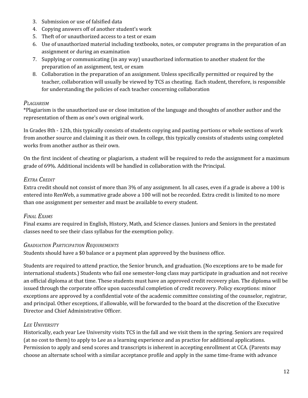- 3. Submission or use of falsified data
- 4. Copying answers off of another student's work
- 5. Theft of or unauthorized access to a test or exam
- 6. Use of unauthorized material including textbooks, notes, or computer programs in the preparation of an assignment or during an examination
- 7. Supplying or communicating (in any way) unauthorized information to another student for the preparation of an assignment, test, or exam
- 8. Collaboration in the preparation of an assignment. Unless specifically permitted or required by the teacher, collaboration will usually be viewed by TCS as cheating. Each student, therefore, is responsible for understanding the policies of each teacher concerning collaboration

#### *PLAGIARISM*

\*Plagiarism is the unauthorized use or close imitation of the language and thoughts of another author and the representation of them as one's own original work.

In Grades 8th - 12th, this typically consists of students copying and pasting portions or whole sections of work from another source and claiming it as their own. In college, this typically consists of students using completed works from another author as their own.

On the first incident of cheating or plagiarism, a student will be required to redo the assignment for a maximum grade of 69%. Additional incidents will be handled in collaboration with the Principal.

#### *EXTRA CREDIT*

Extra credit should not consist of more than 3% of any assignment. In all cases, even if a grade is above a 100 is entered into RenWeb, a summative grade above a 100 will not be recorded. Extra credit is limited to no more than one assignment per semester and must be available to every student.

#### *FINAL EXAMS*

Final exams are required in English, History, Math, and Science classes. Juniors and Seniors in the prestated classes need to see their class syllabus for the exemption policy.

#### *GRADUATION PARTICIPATION REQUIREMENTS*

Students should have a \$0 balance or a payment plan approved by the business office.

Students are required to attend practice, the Senior brunch, and graduation. (No exceptions are to be made for international students.) Students who fail one semester-long class may participate in graduation and not receive an official diploma at that time. These students must have an approved credit recovery plan. The diploma will be issued through the corporate office upon successful completion of credit recovery. Policy exceptions: minor exceptions are approved by a confidential vote of the academic committee consisting of the counselor, registrar, and principal. Other exceptions, if allowable, will be forwarded to the board at the discretion of the Executive Director and Chief Administrative Officer.

#### *LEE UNIVERSITY*

Historically, each year Lee University visits TCS in the fall and we visit them in the spring. Seniors are required (at no cost to them) to apply to Lee as a learning experience and as practice for additional applications. Permission to apply and send scores and transcripts is inherent in accepting enrollment at CCA. (Parents may choose an alternate school with a similar acceptance profile and apply in the same time-frame with advance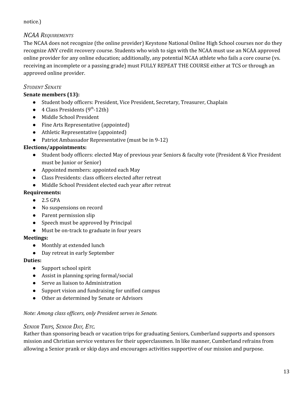#### notice.)

#### *NCAA REQUIREMENTS*

The NCAA does not recognize (the online provider) Keystone National Online High School courses nor do they recognize ANY credit recovery course. Students who wish to sign with the NCAA must use an NCAA approved online provider for any online education; additionally, any potential NCAA athlete who fails a core course (vs. receiving an incomplete or a passing grade) must FULLY REPEAT THE COURSE either at TCS or through an approved online provider.

#### *STUDENT SENATE*

#### **Senate members (13):**

- Student body officers: President, Vice President, Secretary, Treasurer, Chaplain
- $\bullet$  4 Class Presidents (9<sup>th</sup>-12th)
- Middle School President
- Fine Arts Representative (appointed)
- Athletic Representative (appointed)
- Patriot Ambassador Representative (must be in 9-12)

#### **Elections/appointments:**

- **●** Student body officers: elected May of previous year Seniors & faculty vote (President & Vice President must be Junior or Senior)
- Appointed members: appointed each May
- Class Presidents: class officers elected after retreat
- Middle School President elected each year after retreat

#### **Requirements:**

- **●** 2.5 GPA
- No suspensions on record
- Parent permission slip
- Speech must be approved by Principal
- Must be on-track to graduate in four years

#### **Meetings:**

- Monthly at extended lunch
- Day retreat in early September

#### **Duties:**

- Support school spirit
- Assist in planning spring formal/social
- Serve as liaison to Administration
- Support vision and fundraising for unified campus
- Other as determined by Senate or Advisors

#### *Note: Among class of icers, only President serves in Senate.*

#### *SENIOR TRIPS, SENIOR DAY, ETC.*

Rather than sponsoring beach or vacation trips for graduating Seniors, Cumberland supports and sponsors mission and Christian service ventures for their upperclassmen. In like manner, Cumberland refrains from allowing a Senior prank or skip days and encourages activities supportive of our mission and purpose.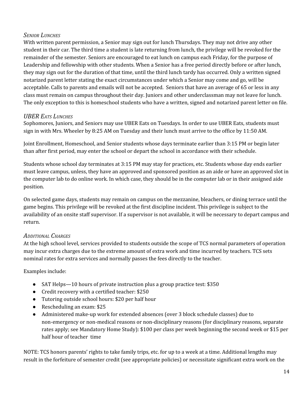#### *SENIOR LUNCHES*

With written parent permission, a Senior may sign out for lunch Thursdays. They may not drive any other student in their car. The third time a student is late returning from lunch, the privilege will be revoked for the remainder of the semester. Seniors are encouraged to eat lunch on campus each Friday, for the purpose of Leadership and fellowship with other students. When a Senior has a free period directly before or after lunch, they may sign out for the duration of that time, until the third lunch tardy has occurred. Only a written signed notarized parent letter stating the exact circumstances under which a Senior may come and go, will be acceptable. Calls to parents and emails will not be accepted. Seniors that have an average of 65 or less in any class must remain on campus throughout their day. Juniors and other underclassman may not leave for lunch. The only exception to this is homeschool students who have a written, signed and notarized parent letter on file.

#### *UBER EATS LUNCHES*

Sophomores, Juniors, and Seniors may use UBER Eats on Tuesdays. In order to use UBER Eats, students must sign in with Mrs. Wheeler by 8:25 AM on Tuesday and their lunch must arrive to the office by 11:50 AM.

Joint Enrollment, Homeschool, and Senior students whose days terminate earlier than 3:15 PM or begin later than after first period, may enter the school or depart the school in accordance with their schedule.

Students whose school day terminates at 3:15 PM may stay for practices, etc. Students whose day ends earlier must leave campus, unless, they have an approved and sponsored position as an aide or have an approved slot in the computer lab to do online work. In which case, they should be in the computer lab or in their assigned aide position.

On selected game days, students may remain on campus on the mezzanine, bleachers, or dining terrace until the game begins. This privilege will be revoked at the first discipline incident. This privilege is subject to the availability of an onsite staff supervisor. If a supervisor is not available, it will be necessary to depart campus and return.

#### *ADDITIONAL CHARGES*

At the high school level, services provided to students outside the scope of TCS normal parameters of operation may incur extra charges due to the extreme amount of extra work and time incurred by teachers. TCS sets nominal rates for extra services and normally passes the fees directly to the teacher.

#### Examples include:

- *●* SAT Helps—10 hours of private instruction plus a group practice test: \$350
- *●* Credit recovery with a certified teacher: \$250
- *●* Tutoring outside school hours: \$20 per half hour
- *●* Rescheduling an exam: \$25
- *●* Administered make-up work for extended absences (over 3 block schedule classes) due to non-emergency or non-medical reasons or non-disciplinary reasons (for disciplinary reasons, separate rates apply; see Mandatory Home Study): \$100 per class per week beginning the second week or \$15 per half hour of teacher time

NOTE: TCS honors parents' rights to take family trips, etc. for up to a week at a time. Additional lengths may result in the forfeiture of semester credit (see appropriate policies) or necessitate significant extra work on the